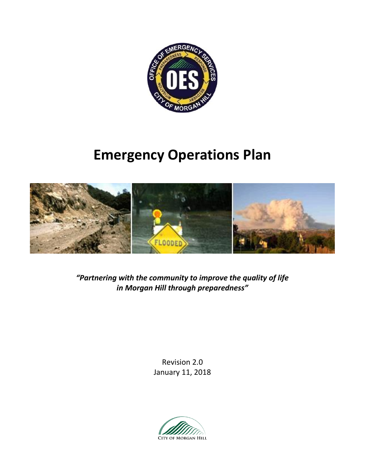

# **Emergency Operations Plan**



*"Partnering with the community to improve the quality of life in Morgan Hill through preparedness"*

> Revision 2.0 January 11, 2018

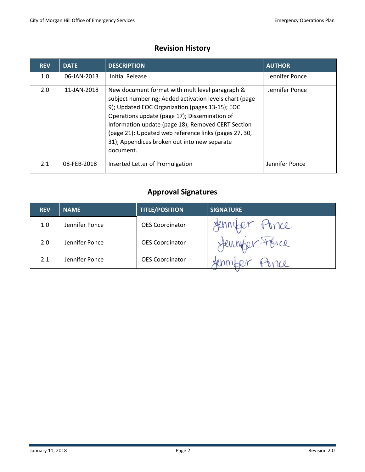# **Revision History**

| <b>REV</b> | <b>DATE</b> | <b>DESCRIPTION</b>                                                                                                                                                                                                                                                                                                                                                                        | <b>AUTHOR</b>  |
|------------|-------------|-------------------------------------------------------------------------------------------------------------------------------------------------------------------------------------------------------------------------------------------------------------------------------------------------------------------------------------------------------------------------------------------|----------------|
| 1.0        | 06-JAN-2013 | Initial Release                                                                                                                                                                                                                                                                                                                                                                           | Jennifer Ponce |
| 2.0        | 11-JAN-2018 | New document format with multilevel paragraph &<br>subject numbering; Added activation levels chart (page<br>9); Updated EOC Organization (pages 13-15); EOC<br>Operations update (page 17); Dissemination of<br>Information update (page 18); Removed CERT Section<br>(page 21); Updated web reference links (pages 27, 30,<br>31); Appendices broken out into new separate<br>document. | Jennifer Ponce |
| 2.1        | 08-FEB-2018 | Inserted Letter of Promulgation                                                                                                                                                                                                                                                                                                                                                           | Jennifer Ponce |

# **Approval Signatures**

| <b>REV</b> | <b>NAME</b>    | <b>TITLE/POSITION</b>  | <b>SIGNATURE</b> |
|------------|----------------|------------------------|------------------|
| 1.0        | Jennifer Ponce | <b>OES Coordinator</b> | Fonce            |
| 2.0        | Jennifer Ponce | <b>OES Coordinator</b> | Henr             |
| 2.1        | Jennifer Ponce | <b>OES Coordinator</b> |                  |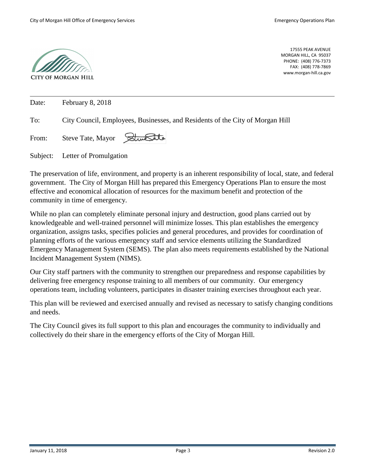

17555 PEAK AVENUE MORGAN HILL, CA 95037 PHONE: (408) 776-7373 FAX: (408) 778-7869 www.morgan-hill.ca.gov

| Date: | February 8, 2018                                                              |
|-------|-------------------------------------------------------------------------------|
| To:   | City Council, Employees, Businesses, and Residents of the City of Morgan Hill |
| From: | Steve Tate, Mayor Stune Lite                                                  |

Subject: Letter of Promulgation

The preservation of life, environment, and property is an inherent responsibility of local, state, and federal government. The City of Morgan Hill has prepared this Emergency Operations Plan to ensure the most effective and economical allocation of resources for the maximum benefit and protection of the community in time of emergency.

While no plan can completely eliminate personal injury and destruction, good plans carried out by knowledgeable and well-trained personnel will minimize losses. This plan establishes the emergency organization, assigns tasks, specifies policies and general procedures, and provides for coordination of planning efforts of the various emergency staff and service elements utilizing the Standardized Emergency Management System (SEMS). The plan also meets requirements established by the National Incident Management System (NIMS).

Our City staff partners with the community to strengthen our preparedness and response capabilities by delivering free emergency response training to all members of our community. Our emergency operations team, including volunteers, participates in disaster training exercises throughout each year.

This plan will be reviewed and exercised annually and revised as necessary to satisfy changing conditions and needs.

The City Council gives its full support to this plan and encourages the community to individually and collectively do their share in the emergency efforts of the City of Morgan Hill.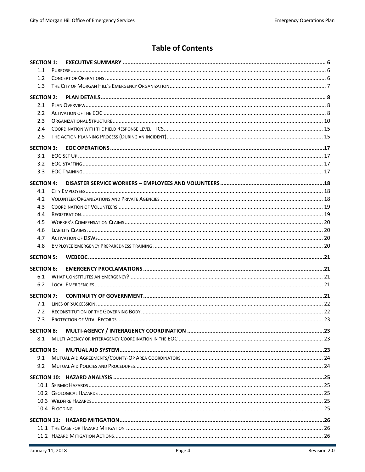# **Table of Contents**

| <b>SECTION 1:</b>        |  |  |
|--------------------------|--|--|
| 1.1                      |  |  |
| 1.2                      |  |  |
| 1.3                      |  |  |
| <b>SECTION 2:</b>        |  |  |
| 2.1                      |  |  |
| 2.2                      |  |  |
| 2.3                      |  |  |
| 2.4                      |  |  |
| 2.5                      |  |  |
|                          |  |  |
| <b>SECTION 3:</b>        |  |  |
| 3.1                      |  |  |
| 3.2                      |  |  |
| 3.3                      |  |  |
| <b>SECTION 4:</b>        |  |  |
| 4.1                      |  |  |
| 4.2                      |  |  |
| 4.3                      |  |  |
| 4.4                      |  |  |
| 4.5                      |  |  |
| 4.6                      |  |  |
| 4.7                      |  |  |
| 4.8                      |  |  |
|                          |  |  |
| <b>SECTION 5:</b>        |  |  |
|                          |  |  |
| <b>SECTION 6:</b><br>6.1 |  |  |
| 6.2                      |  |  |
|                          |  |  |
| <b>SECTION 7:</b>        |  |  |
| 7.1                      |  |  |
| 7.2                      |  |  |
| 7.3                      |  |  |
| <b>SECTION 8:</b>        |  |  |
| 8.1                      |  |  |
|                          |  |  |
| <b>SECTION 9:</b><br>9.1 |  |  |
| 9.2                      |  |  |
|                          |  |  |
|                          |  |  |
|                          |  |  |
|                          |  |  |
|                          |  |  |
|                          |  |  |
|                          |  |  |
|                          |  |  |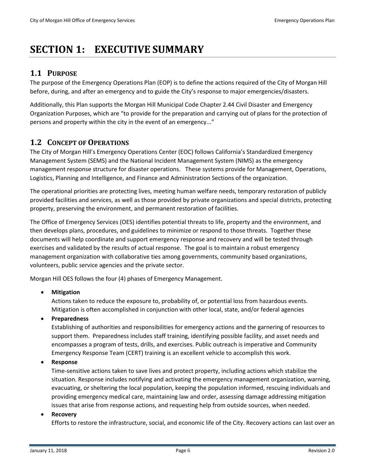# <span id="page-5-0"></span>**SECTION 1: EXECUTIVE SUMMARY**

## <span id="page-5-1"></span>**1.1 PURPOSE**

The purpose of the Emergency Operations Plan (EOP) is to define the actions required of the City of Morgan Hill before, during, and after an emergency and to guide the City's response to major emergencies/disasters.

Additionally, this Plan supports the Morgan Hill Municipal Code Chapter 2.44 Civil Disaster and Emergency Organization Purposes, which are "to provide for the preparation and carrying out of plans for the protection of persons and property within the city in the event of an emergency..."

## <span id="page-5-2"></span>**1.2 CONCEPT OF OPERATIONS**

The City of Morgan Hill's Emergency Operations Center (EOC) follows California's Standardized Emergency Management System (SEMS) and the National Incident Management System (NIMS) as the emergency management response structure for disaster operations. These systems provide for Management, Operations, Logistics, Planning and Intelligence, and Finance and Administration Sections of the organization.

The operational priorities are protecting lives, meeting human welfare needs, temporary restoration of publicly provided facilities and services, as well as those provided by private organizations and special districts, protecting property, preserving the environment, and permanent restoration of facilities.

The Office of Emergency Services (OES) identifies potential threats to life, property and the environment, and then develops plans, procedures, and guidelines to minimize or respond to those threats. Together these documents will help coordinate and support emergency response and recovery and will be tested through exercises and validated by the results of actual response. The goal is to maintain a robust emergency management organization with collaborative ties among governments, community based organizations, volunteers, public service agencies and the private sector.

Morgan Hill OES follows the four (4) phases of Emergency Management.

## • **Mitigation**

Actions taken to reduce the exposure to, probability of, or potential loss from hazardous events. Mitigation is often accomplished in conjunction with other local, state, and/or federal agencies

## • **Preparedness**

Establishing of authorities and responsibilities for emergency actions and the garnering of resources to support them. Preparedness includes staff training, identifying possible facility, and asset needs and encompasses a program of tests, drills, and exercises. Public outreach is imperative and Community Emergency Response Team (CERT) training is an excellent vehicle to accomplish this work.

#### • **Response**

Time-sensitive actions taken to save lives and protect property, including actions which stabilize the situation. Response includes notifying and activating the emergency management organization, warning, evacuating, or sheltering the local population, keeping the population informed, rescuing individuals and providing emergency medical care, maintaining law and order, assessing damage addressing mitigation issues that arise from response actions, and requesting help from outside sources, when needed.

#### • **Recovery**

Efforts to restore the infrastructure, social, and economic life of the City. Recovery actions can last over an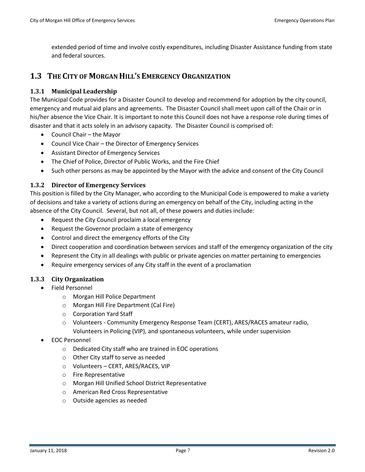extended period of time and involve costly expenditures, including Disaster Assistance funding from state and federal sources.

## <span id="page-6-0"></span>**1.3 THE CITY OF MORGAN HILL'S EMERGENCY ORGANIZATION**

#### **1.3.1 Municipal Leadership**

The Municipal Code provides for a Disaster Council to develop and recommend for adoption by the city council, emergency and mutual aid plans and agreements. The Disaster Council shall meet upon call of the Chair or in his/her absence the Vice Chair. It is important to note this Council does not have a response role during times of disaster and that it acts solely in an advisory capacity. The Disaster Council is comprised of:

- Council Chair the Mayor
- Council Vice Chair the Director of Emergency Services
- Assistant Director of Emergency Services
- The Chief of Police, Director of Public Works, and the Fire Chief
- Such other persons as may be appointed by the Mayor with the advice and consent of the City Council

#### **1.3.2 Director of Emergency Services**

This position is filled by the City Manager, who according to the Municipal Code is empowered to make a variety of decisions and take a variety of actions during an emergency on behalf of the City, including acting in the absence of the City Council. Several, but not all, of these powers and duties include:

- Request the City Council proclaim a local emergency
- Request the Governor proclaim a state of emergency
- Control and direct the emergency efforts of the City
- Direct cooperation and coordination between services and staff of the emergency organization of the city
- Represent the City in all dealings with public or private agencies on matter pertaining to emergencies
- Require emergency services of any City staff in the event of a proclamation

## **1.3.3 City Organization**

- Field Personnel
	- o Morgan Hill Police Department
	- o Morgan Hill Fire Department (Cal Fire)
	- o Corporation Yard Staff
	- o Volunteers Community Emergency Response Team (CERT), ARES/RACES amateur radio, Volunteers in Policing (VIP), and spontaneous volunteers, while under supervision
- EOC Personnel
	- o Dedicated City staff who are trained in EOC operations
	- o Other City staff to serve as needed
	- o Volunteers CERT, ARES/RACES, VIP
	- o Fire Representative
	- o Morgan Hill Unified School District Representative
	- o American Red Cross Representative
	- o Outside agencies as needed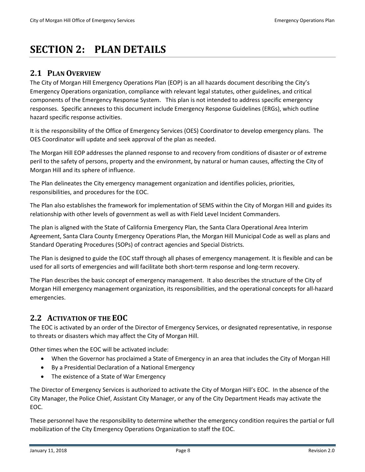# <span id="page-7-0"></span>**SECTION 2: PLAN DETAILS**

## <span id="page-7-1"></span>**2.1 PLAN OVERVIEW**

The City of Morgan Hill Emergency Operations Plan (EOP) is an all hazards document describing the City's Emergency Operations organization, compliance with relevant legal statutes, other guidelines, and critical components of the Emergency Response System. This plan is not intended to address specific emergency responses. Specific annexes to this document include Emergency Response Guidelines (ERGs), which outline hazard specific response activities.

It is the responsibility of the Office of Emergency Services (OES) Coordinator to develop emergency plans. The OES Coordinator will update and seek approval of the plan as needed.

The Morgan Hill EOP addresses the planned response to and recovery from conditions of disaster or of extreme peril to the safety of persons, property and the environment, by natural or human causes, affecting the City of Morgan Hill and its sphere of influence.

The Plan delineates the City emergency management organization and identifies policies, priorities, responsibilities, and procedures for the EOC.

The Plan also establishes the framework for implementation of SEMS within the City of Morgan Hill and guides its relationship with other levels of government as well as with Field Level Incident Commanders.

The plan is aligned with the State of California Emergency Plan, the Santa Clara Operational Area Interim Agreement, Santa Clara County Emergency Operations Plan, the Morgan Hill Municipal Code as well as plans and Standard Operating Procedures (SOPs) of contract agencies and Special Districts.

The Plan is designed to guide the EOC staff through all phases of emergency management. It is flexible and can be used for all sorts of emergencies and will facilitate both short-term response and long-term recovery.

The Plan describes the basic concept of emergency management. It also describes the structure of the City of Morgan Hill emergency management organization, its responsibilities, and the operational concepts for all-hazard emergencies.

## <span id="page-7-2"></span>**2.2 ACTIVATION OF THE EOC**

The EOC is activated by an order of the Director of Emergency Services, or designated representative, in response to threats or disasters which may affect the City of Morgan Hill.

Other times when the EOC will be activated include:

- When the Governor has proclaimed a State of Emergency in an area that includes the City of Morgan Hill
- By a Presidential Declaration of a National Emergency
- The existence of a State of War Emergency

The Director of Emergency Services is authorized to activate the City of Morgan Hill's EOC. In the absence of the City Manager, the Police Chief, Assistant City Manager, or any of the City Department Heads may activate the EOC.

These personnel have the responsibility to determine whether the emergency condition requires the partial or full mobilization of the City Emergency Operations Organization to staff the EOC.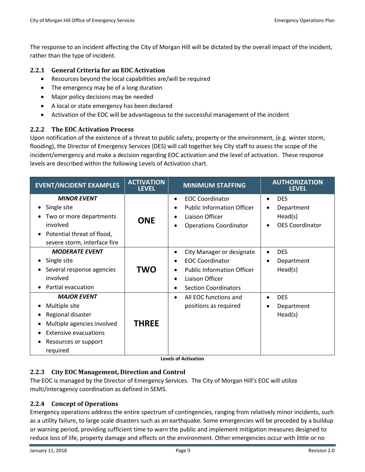The response to an incident affecting the City of Morgan Hill will be dictated by the overall impact of the incident, rather than the type of incident.

## **2.2.1 General Criteria for an EOC Activation**

- Resources beyond the local capabilities are/will be required
- The emergency may be of a long duration
- Major policy decisions may be needed
- A local or state emergency has been declared
- Activation of the EOC will be advantageous to the successful management of the incident

## **2.2.2 The EOC Activation Process**

Upon notification of the existence of a threat to public safety, property or the environment, (e.g. winter storm, flooding), the Director of Emergency Services (DES) will call together key City staff to assess the scope of the incident/emergency and make a decision regarding EOC activation and the level of activation. These response levels are described within the following Levels of Activation chart.

| <b>EVENT/INCIDENT EXAMPLES</b>                                                                                                                             | <b>ACTIVATION</b><br><b>LEVEL</b> | <b>MINIMUM STAFFING</b>                                                                                                                                                                                     | <b>AUTHORIZATION</b><br><b>LEVEL</b>                                                                 |
|------------------------------------------------------------------------------------------------------------------------------------------------------------|-----------------------------------|-------------------------------------------------------------------------------------------------------------------------------------------------------------------------------------------------------------|------------------------------------------------------------------------------------------------------|
| <b>MINOR EVENT</b><br>Single site<br>Two or more departments<br>involved<br>Potential threat of flood,<br>severe storm, interface fire                     | <b>ONE</b>                        | <b>EOC Coordinator</b><br>$\bullet$<br><b>Public Information Officer</b><br>$\bullet$<br>Liaison Officer<br>$\bullet$<br><b>Operations Coordinator</b><br>$\bullet$                                         | <b>DES</b><br>$\bullet$<br>Department<br>$\bullet$<br>Head(s)<br><b>OES Coordinator</b><br>$\bullet$ |
| <b>MODERATE EVENT</b><br>Single site<br>Several response agencies<br>involved<br>Partial evacuation                                                        | TWO                               | City Manager or designate<br>$\bullet$<br><b>EOC Coordinator</b><br>$\bullet$<br><b>Public Information Officer</b><br>$\bullet$<br>Liaison Officer<br>$\bullet$<br><b>Section Coordinators</b><br>$\bullet$ | <b>DES</b><br>$\bullet$<br>Department<br>$\bullet$<br>Head(s)                                        |
| <b>MAJOR EVENT</b><br>Multiple site<br>Regional disaster<br>Multiple agencies involved<br><b>Extensive evacuations</b><br>Resources or support<br>required | <b>THREE</b>                      | All EOC functions and<br>$\bullet$<br>positions as required                                                                                                                                                 | <b>DES</b><br>$\bullet$<br>Department<br>٠<br>Head(s)                                                |

**Levels of Activation**

## **2.2.3 City EOC Management, Direction and Control**

The EOC is managed by the Director of Emergency Services. The City of Morgan Hill's EOC will utilize multi/interagency coordination as defined in SEMS.

## **2.2.4 Concept of Operations**

Emergency operations address the entire spectrum of contingencies, ranging from relatively minor incidents, such as a utility failure, to large scale disasters such as an earthquake. Some emergencies will be preceded by a buildup or warning period, providing sufficient time to warn the public and implement mitigation measures designed to reduce loss of life, property damage and effects on the environment. Other emergencies occur with little or no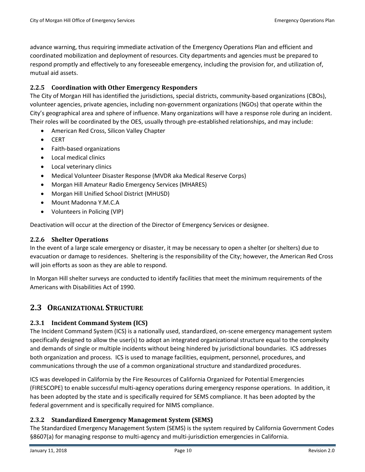advance warning, thus requiring immediate activation of the Emergency Operations Plan and efficient and coordinated mobilization and deployment of resources. City departments and agencies must be prepared to respond promptly and effectively to any foreseeable emergency, including the provision for, and utilization of, mutual aid assets.

## **2.2.5 Coordination with Other Emergency Responders**

The City of Morgan Hill has identified the jurisdictions, special districts, community-based organizations (CBOs), volunteer agencies, private agencies, including non-government organizations (NGOs) that operate within the City's geographical area and sphere of influence. Many organizations will have a response role during an incident. Their roles will be coordinated by the OES, usually through pre-established relationships, and may include:

- American Red Cross, Silicon Valley Chapter
- CERT
- Faith-based organizations
- Local medical clinics
- Local veterinary clinics
- Medical Volunteer Disaster Response (MVDR aka Medical Reserve Corps)
- Morgan Hill Amateur Radio Emergency Services (MHARES)
- Morgan Hill Unified School District (MHUSD)
- Mount Madonna Y.M.C.A
- Volunteers in Policing (VIP)

Deactivation will occur at the direction of the Director of Emergency Services or designee.

## **2.2.6 Shelter Operations**

In the event of a large scale emergency or disaster, it may be necessary to open a shelter (or shelters) due to evacuation or damage to residences. Sheltering is the responsibility of the City; however, the American Red Cross will join efforts as soon as they are able to respond.

In Morgan Hill shelter surveys are conducted to identify facilities that meet the minimum requirements of the Americans with Disabilities Act of 1990.

## <span id="page-9-0"></span>**2.3 ORGANIZATIONAL STRUCTURE**

## **2.3.1 Incident Command System (ICS)**

The Incident Command System (ICS) is a nationally used, standardized, on-scene emergency management system specifically designed to allow the user(s) to adopt an integrated organizational structure equal to the complexity and demands of single or multiple incidents without being hindered by jurisdictional boundaries. ICS addresses both organization and process. ICS is used to manage facilities, equipment, personnel, procedures, and communications through the use of a common organizational structure and standardized procedures.

ICS was developed in California by the Fire Resources of California Organized for Potential Emergencies (FIRESCOPE) to enable successful multi-agency operations during emergency response operations. In addition, it has been adopted by the state and is specifically required for SEMS compliance. It has been adopted by the federal government and is specifically required for NIMS compliance.

## **2.3.2 Standardized Emergency Management System (SEMS)**

The Standardized Emergency Management System (SEMS) is the system required by California Government Codes §8607(a) for managing response to multi-agency and multi-jurisdiction emergencies in California.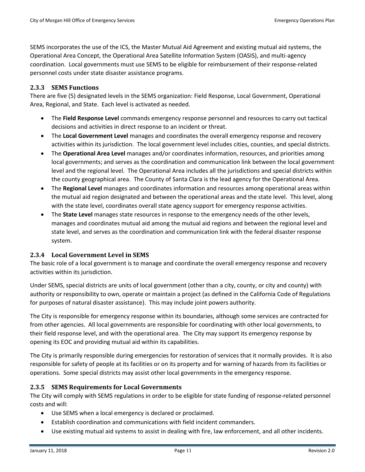SEMS incorporates the use of the ICS, the Master Mutual Aid Agreement and existing mutual aid systems, the Operational Area Concept, the Operational Area Satellite Information System (OASIS), and multi-agency coordination. Local governments must use SEMS to be eligible for reimbursement of their response-related personnel costs under state disaster assistance programs.

## **2.3.3 SEMS Functions**

There are five (5) designated levels in the SEMS organization: Field Response, Local Government, Operational Area, Regional, and State. Each level is activated as needed.

- The **Field Response Level** commands emergency response personnel and resources to carry out tactical decisions and activities in direct response to an incident or threat.
- The **Local Government Level** manages and coordinates the overall emergency response and recovery activities within its jurisdiction. The local government level includes cities, counties, and special districts.
- The **Operational Area Level** manages and/or coordinates information, resources, and priorities among local governments; and serves as the coordination and communication link between the local government level and the regional level. The Operational Area includes all the jurisdictions and special districts within the county geographical area. The County of Santa Clara is the lead agency for the Operational Area.
- The **Regional Level** manages and coordinates information and resources among operational areas within the mutual aid region designated and between the operational areas and the state level. This level, along with the state level, coordinates overall state agency support for emergency response activities.
- The **State Level** manages state resources in response to the emergency needs of the other levels, manages and coordinates mutual aid among the mutual aid regions and between the regional level and state level, and serves as the coordination and communication link with the federal disaster response system.

## **2.3.4 Local Government Level in SEMS**

The basic role of a local government is to manage and coordinate the overall emergency response and recovery activities within its jurisdiction.

Under SEMS, special districts are units of local government (other than a city, county, or city and county) with authority or responsibility to own, operate or maintain a project (as defined in the California Code of Regulations for purposes of natural disaster assistance). This may include joint powers authority.

The City is responsible for emergency response within its boundaries, although some services are contracted for from other agencies. All local governments are responsible for coordinating with other local governments, to their field response level, and with the operational area. The City may support its emergency response by opening its EOC and providing mutual aid within its capabilities.

The City is primarily responsible during emergencies for restoration of services that it normally provides. It is also responsible for safety of people at its facilities or on its property and for warning of hazards from its facilities or operations. Some special districts may assist other local governments in the emergency response.

## **2.3.5 SEMS Requirements for Local Governments**

The City will comply with SEMS regulations in order to be eligible for state funding of response-related personnel costs and will:

- Use SEMS when a local emergency is declared or proclaimed.
- Establish coordination and communications with field incident commanders.
- Use existing mutual aid systems to assist in dealing with fire, law enforcement, and all other incidents.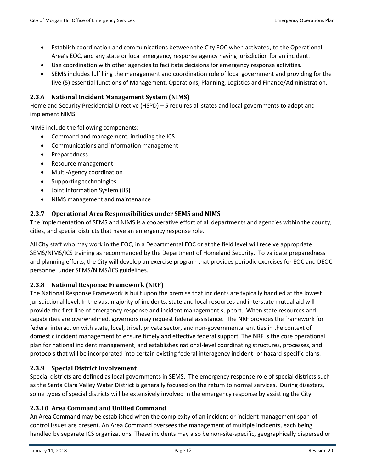- Establish coordination and communications between the City EOC when activated, to the Operational Area's EOC, and any state or local emergency response agency having jurisdiction for an incident.
- Use coordination with other agencies to facilitate decisions for emergency response activities.
- SEMS includes fulfilling the management and coordination role of local government and providing for the five (5) essential functions of Management, Operations, Planning, Logistics and Finance/Administration.

#### **2.3.6 National Incident Management System (NIMS)**

Homeland Security Presidential Directive (HSPD) – 5 requires all states and local governments to adopt and implement NIMS.

NIMS include the following components:

- Command and management, including the ICS
- Communications and information management
- Preparedness
- Resource management
- Multi-Agency coordination
- Supporting technologies
- Joint Information System (JIS)
- NIMS management and maintenance

#### **2.3.7 Operational Area Responsibilities under SEMS and NIMS**

The implementation of SEMS and NIMS is a cooperative effort of all departments and agencies within the county, cities, and special districts that have an emergency response role.

All City staff who may work in the EOC, in a Departmental EOC or at the field level will receive appropriate SEMS/NIMS/ICS training as recommended by the Department of Homeland Security. To validate preparedness and planning efforts, the City will develop an exercise program that provides periodic exercises for EOC and DEOC personnel under SEMS/NIMS/ICS guidelines.

#### **2.3.8 National Response Framework (NRF)**

The National Response Framework is built upon the premise that incidents are typically handled at the lowest jurisdictional level. In the vast majority of incidents, state and local resources and interstate mutual aid will provide the first line of emergency response and incident management support. When state resources and capabilities are overwhelmed, governors may request federal assistance. The NRF provides the framework for federal interaction with state, local, tribal, private sector, and non-governmental entities in the context of domestic incident management to ensure timely and effective federal support. The NRF is the core operational plan for national incident management, and establishes national-level coordinating structures, processes, and protocols that will be incorporated into certain existing federal interagency incident- or hazard-specific plans.

## **2.3.9 Special District Involvement**

Special districts are defined as local governments in SEMS. The emergency response role of special districts such as the Santa Clara Valley Water District is generally focused on the return to normal services. During disasters, some types of special districts will be extensively involved in the emergency response by assisting the City.

#### **2.3.10 Area Command and Unified Command**

An Area Command may be established when the complexity of an incident or incident management span-ofcontrol issues are present. An Area Command oversees the management of multiple incidents, each being handled by separate ICS organizations. These incidents may also be non-site-specific, geographically dispersed or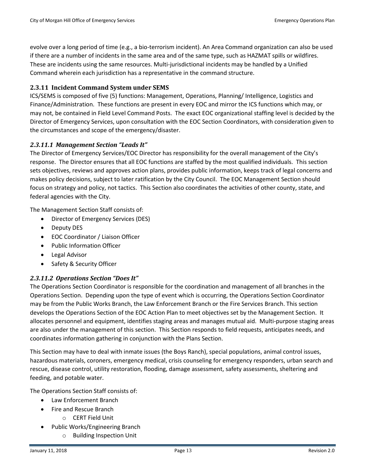evolve over a long period of time (e.g., a bio-terrorism incident). An Area Command organization can also be used if there are a number of incidents in the same area and of the same type, such as HAZMAT spills or wildfires. These are incidents using the same resources. Multi-jurisdictional incidents may be handled by a Unified Command wherein each jurisdiction has a representative in the command structure.

## **2.3.11 Incident Command System under SEMS**

ICS/SEMS is composed of five (5) functions: Management, Operations, Planning/ Intelligence, Logistics and Finance/Administration. These functions are present in every EOC and mirror the ICS functions which may, or may not, be contained in Field Level Command Posts. The exact EOC organizational staffing level is decided by the Director of Emergency Services, upon consultation with the EOC Section Coordinators, with consideration given to the circumstances and scope of the emergency/disaster.

## *2.3.11.1 Management Section "Leads It"*

The Director of Emergency Services/EOC Director has responsibility for the overall management of the City's response. The Director ensures that all EOC functions are staffed by the most qualified individuals. This section sets objectives, reviews and approves action plans, provides public information, keeps track of legal concerns and makes policy decisions, subject to later ratification by the City Council. The EOC Management Section should focus on strategy and policy, not tactics. This Section also coordinates the activities of other county, state, and federal agencies with the City.

The Management Section Staff consists of:

- Director of Emergency Services (DES)
- Deputy DES
- EOC Coordinator / Liaison Officer
- Public Information Officer
- Legal Advisor
- Safety & Security Officer

## *2.3.11.2 Operations Section "Does It"*

The Operations Section Coordinator is responsible for the coordination and management of all branches in the Operations Section. Depending upon the type of event which is occurring, the Operations Section Coordinator may be from the Public Works Branch, the Law Enforcement Branch or the Fire Services Branch. This section develops the Operations Section of the EOC Action Plan to meet objectives set by the Management Section. It allocates personnel and equipment, identifies staging areas and manages mutual aid. Multi-purpose staging areas are also under the management of this section. This Section responds to field requests, anticipates needs, and coordinates information gathering in conjunction with the Plans Section.

This Section may have to deal with inmate issues (the Boys Ranch), special populations, animal control issues, hazardous materials, coroners, emergency medical, crisis counseling for emergency responders, urban search and rescue, disease control, utility restoration, flooding, damage assessment, safety assessments, sheltering and feeding, and potable water.

The Operations Section Staff consists of:

- Law Enforcement Branch
	- Fire and Rescue Branch
		- o CERT Field Unit
- Public Works/Engineering Branch
	- o Building Inspection Unit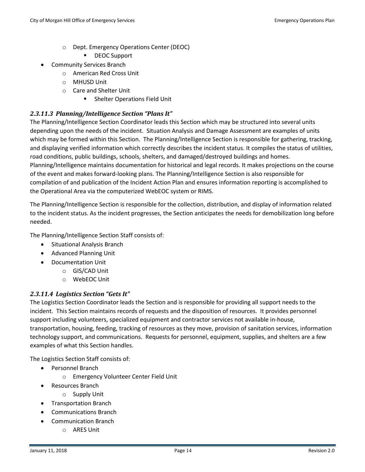- o Dept. Emergency Operations Center (DEOC)
	- DEOC Support
- Community Services Branch
	- o American Red Cross Unit
	- o MHUSD Unit
	- o Care and Shelter Unit
		- **EXEC** Shelter Operations Field Unit

## *2.3.11.3 Planning/Intelligence Section "Plans It"*

The Planning/Intelligence Section Coordinator leads this Section which may be structured into several units depending upon the needs of the incident. Situation Analysis and Damage Assessment are examples of units which may be formed within this Section. The Planning/Intelligence Section is responsible for gathering, tracking, and displaying verified information which correctly describes the incident status. It compiles the status of utilities, road conditions, public buildings, schools, shelters, and damaged/destroyed buildings and homes. Planning/Intelligence maintains documentation for historical and legal records. It makes projections on the course of the event and makes forward-looking plans. The Planning/Intelligence Section is also responsible for compilation of and publication of the Incident Action Plan and ensures information reporting is accomplished to the Operational Area via the computerized WebEOC system or RIMS.

The Planning/Intelligence Section is responsible for the collection, distribution, and display of information related to the incident status. As the incident progresses, the Section anticipates the needs for demobilization long before needed.

The Planning/Intelligence Section Staff consists of:

- Situational Analysis Branch
- Advanced Planning Unit
- Documentation Unit
	- o GIS/CAD Unit
	- o WebEOC Unit

## *2.3.11.4 Logistics Section "Gets It"*

The Logistics Section Coordinator leads the Section and is responsible for providing all support needs to the incident. This Section maintains records of requests and the disposition of resources. It provides personnel support including volunteers, specialized equipment and contractor services not available in-house, transportation, housing, feeding, tracking of resources as they move, provision of sanitation services, information technology support, and communications. Requests for personnel, equipment, supplies, and shelters are a few examples of what this Section handles.

The Logistics Section Staff consists of:

- Personnel Branch
	- o Emergency Volunteer Center Field Unit
- Resources Branch
	- o Supply Unit
- Transportation Branch
- Communications Branch
	- Communication Branch
		- o ARES Unit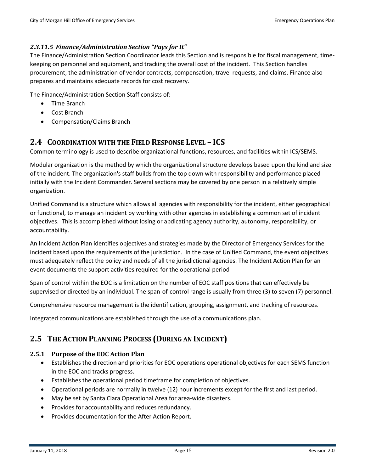#### *2.3.11.5 Finance/Administration Section "Pays for It"*

The Finance/Administration Section Coordinator leads this Section and is responsible for fiscal management, timekeeping on personnel and equipment, and tracking the overall cost of the incident. This Section handles procurement, the administration of vendor contracts, compensation, travel requests, and claims. Finance also prepares and maintains adequate records for cost recovery.

The Finance/Administration Section Staff consists of:

- Time Branch
- Cost Branch
- Compensation/Claims Branch

## <span id="page-14-0"></span>**2.4 COORDINATION WITH THE FIELD RESPONSE LEVEL – ICS**

Common terminology is used to describe organizational functions, resources, and facilities within ICS/SEMS.

Modular organization is the method by which the organizational structure develops based upon the kind and size of the incident. The organization's staff builds from the top down with responsibility and performance placed initially with the Incident Commander. Several sections may be covered by one person in a relatively simple organization.

Unified Command is a structure which allows all agencies with responsibility for the incident, either geographical or functional, to manage an incident by working with other agencies in establishing a common set of incident objectives. This is accomplished without losing or abdicating agency authority, autonomy, responsibility, or accountability.

An Incident Action Plan identifies objectives and strategies made by the Director of Emergency Services for the incident based upon the requirements of the jurisdiction. In the case of Unified Command, the event objectives must adequately reflect the policy and needs of all the jurisdictional agencies. The Incident Action Plan for an event documents the support activities required for the operational period

Span of control within the EOC is a limitation on the number of EOC staff positions that can effectively be supervised or directed by an individual. The span-of-control range is usually from three (3) to seven (7) personnel.

Comprehensive resource management is the identification, grouping, assignment, and tracking of resources.

Integrated communications are established through the use of a communications plan.

## <span id="page-14-1"></span>**2.5 THE ACTION PLANNING PROCESS (DURING AN INCIDENT)**

## **2.5.1 Purpose of the EOC Action Plan**

- Establishes the direction and priorities for EOC operations operational objectives for each SEMS function in the EOC and tracks progress.
- Establishes the operational period timeframe for completion of objectives.
- Operational periods are normally in twelve (12) hour increments except for the first and last period.
- May be set by Santa Clara Operational Area for area-wide disasters.
- Provides for accountability and reduces redundancy.
- Provides documentation for the After Action Report.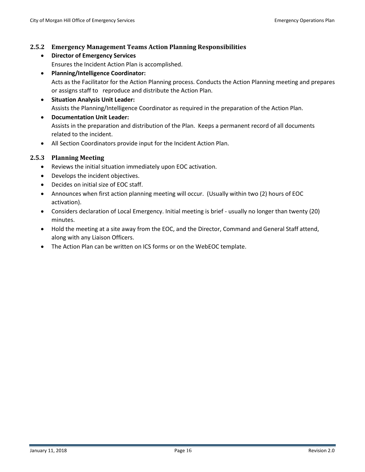#### **2.5.2 Emergency Management Teams Action Planning Responsibilities**

- **Director of Emergency Services** Ensures the Incident Action Plan is accomplished.
- **Planning/Intelligence Coordinator:** Acts as the Facilitator for the Action Planning process. Conducts the Action Planning meeting and prepares or assigns staff to reproduce and distribute the Action Plan.
- **Situation Analysis Unit Leader:** Assists the Planning/Intelligence Coordinator as required in the preparation of the Action Plan.
- **Documentation Unit Leader:** Assists in the preparation and distribution of the Plan. Keeps a permanent record of all documents related to the incident.
- All Section Coordinators provide input for the Incident Action Plan.

#### **2.5.3 Planning Meeting**

- Reviews the initial situation immediately upon EOC activation.
- Develops the incident objectives.
- Decides on initial size of EOC staff.
- Announces when first action planning meeting will occur. (Usually within two (2) hours of EOC activation).
- Considers declaration of Local Emergency. Initial meeting is brief usually no longer than twenty (20) minutes.
- Hold the meeting at a site away from the EOC, and the Director, Command and General Staff attend, along with any Liaison Officers.
- The Action Plan can be written on ICS forms or on the WebEOC template.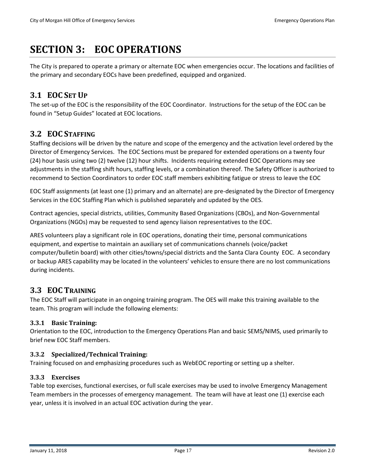# <span id="page-16-0"></span>**SECTION 3: EOC OPERATIONS**

The City is prepared to operate a primary or alternate EOC when emergencies occur. The locations and facilities of the primary and secondary EOCs have been predefined, equipped and organized.

# <span id="page-16-1"></span>**3.1 EOC SET UP**

The set-up of the EOC is the responsibility of the EOC Coordinator. Instructions for the setup of the EOC can be found in "Setup Guides" located at EOC locations.

# <span id="page-16-2"></span>**3.2 EOC STAFFING**

Staffing decisions will be driven by the nature and scope of the emergency and the activation level ordered by the Director of Emergency Services. The EOC Sections must be prepared for extended operations on a twenty four (24) hour basis using two (2) twelve (12) hour shifts. Incidents requiring extended EOC Operations may see adjustments in the staffing shift hours, staffing levels, or a combination thereof. The Safety Officer is authorized to recommend to Section Coordinators to order EOC staff members exhibiting fatigue or stress to leave the EOC

EOC Staff assignments (at least one (1) primary and an alternate) are pre-designated by the Director of Emergency Services in the EOC Staffing Plan which is published separately and updated by the OES.

Contract agencies, special districts, utilities, Community Based Organizations (CBOs), and Non-Governmental Organizations (NGOs) may be requested to send agency liaison representatives to the EOC.

ARES volunteers play a significant role in EOC operations, donating their time, personal communications equipment, and expertise to maintain an auxiliary set of communications channels (voice/packet computer/bulletin board) with other cities/towns/special districts and the Santa Clara County EOC. A secondary or backup ARES capability may be located in the volunteers' vehicles to ensure there are no lost communications during incidents.

# <span id="page-16-3"></span>**3.3 EOC TRAINING**

The EOC Staff will participate in an ongoing training program. The OES will make this training available to the team. This program will include the following elements:

## **3.3.1 Basic Training:**

Orientation to the EOC, introduction to the Emergency Operations Plan and basic SEMS/NIMS, used primarily to brief new EOC Staff members.

## **3.3.2 Specialized/Technical Training:**

Training focused on and emphasizing procedures such as WebEOC reporting or setting up a shelter.

## **3.3.3 Exercises**

Table top exercises, functional exercises, or full scale exercises may be used to involve Emergency Management Team members in the processes of emergency management. The team will have at least one (1) exercise each year, unless it is involved in an actual EOC activation during the year.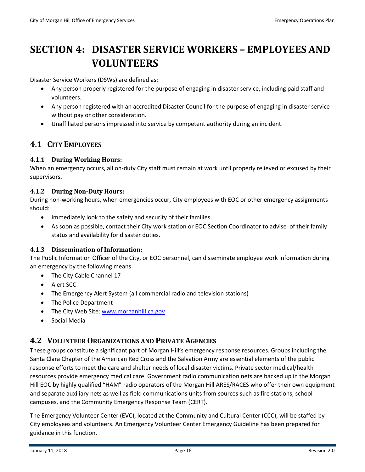# <span id="page-17-0"></span>**SECTION 4: DISASTER SERVICE WORKERS – EMPLOYEES AND VOLUNTEERS**

Disaster Service Workers (DSWs) are defined as:

- Any person properly registered for the purpose of engaging in disaster service, including paid staff and volunteers.
- Any person registered with an accredited Disaster Council for the purpose of engaging in disaster service without pay or other consideration.
- Unaffiliated persons impressed into service by competent authority during an incident.

## <span id="page-17-1"></span>**4.1 CITY EMPLOYEES**

## **4.1.1 During Working Hours:**

When an emergency occurs, all on-duty City staff must remain at work until properly relieved or excused by their supervisors.

## **4.1.2 During Non-Duty Hours:**

During non-working hours, when emergencies occur, City employees with EOC or other emergency assignments should:

- Immediately look to the safety and security of their families.
- As soon as possible, contact their City work station or EOC Section Coordinator to advise of their family status and availability for disaster duties.

## **4.1.3 Dissemination of Information:**

The Public Information Officer of the City, or EOC personnel, can disseminate employee work information during an emergency by the following means.

- The City Cable Channel 17
- Alert SCC
- The Emergency Alert System (all commercial radio and television stations)
- The Police Department
- The City Web Site[: www.morganhill.ca.gov](http://www.morganhill.ca.gov/)
- Social Media

## <span id="page-17-2"></span>**4.2 VOLUNTEER ORGANIZATIONS AND PRIVATE AGENCIES**

These groups constitute a significant part of Morgan Hill's emergency response resources. Groups including the Santa Clara Chapter of the American Red Cross and the Salvation Army are essential elements of the public response efforts to meet the care and shelter needs of local disaster victims. Private sector medical/health resources provide emergency medical care. Government radio communication nets are backed up in the Morgan Hill EOC by highly qualified "HAM" radio operators of the Morgan Hill ARES/RACES who offer their own equipment and separate auxiliary nets as well as field communications units from sources such as fire stations, school campuses, and the Community Emergency Response Team (CERT).

The Emergency Volunteer Center (EVC), located at the Community and Cultural Center (CCC), will be staffed by City employees and volunteers. An Emergency Volunteer Center Emergency Guideline has been prepared for guidance in this function.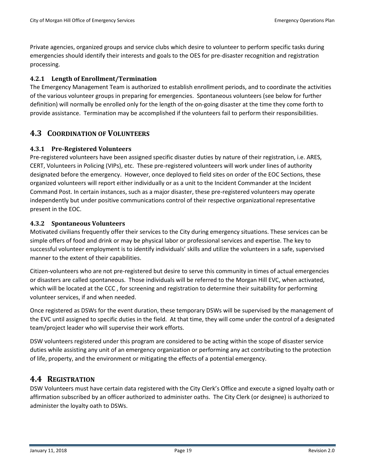Private agencies, organized groups and service clubs which desire to volunteer to perform specific tasks during emergencies should identify their interests and goals to the OES for pre-disaster recognition and registration processing.

## **4.2.1 Length of Enrollment/Termination**

The Emergency Management Team is authorized to establish enrollment periods, and to coordinate the activities of the various volunteer groups in preparing for emergencies. Spontaneous volunteers (see below for further definition) will normally be enrolled only for the length of the on-going disaster at the time they come forth to provide assistance. Termination may be accomplished if the volunteers fail to perform their responsibilities.

## <span id="page-18-0"></span>**4.3 COORDINATION OF VOLUNTEERS**

#### **4.3.1 Pre-Registered Volunteers**

Pre-registered volunteers have been assigned specific disaster duties by nature of their registration, i.e. ARES, CERT, Volunteers in Policing (VIPs), etc. These pre-registered volunteers will work under lines of authority designated before the emergency. However, once deployed to field sites on order of the EOC Sections, these organized volunteers will report either individually or as a unit to the Incident Commander at the Incident Command Post. In certain instances, such as a major disaster, these pre-registered volunteers may operate independently but under positive communications control of their respective organizational representative present in the EOC.

#### **4.3.2 Spontaneous Volunteers**

Motivated civilians frequently offer their services to the City during emergency situations. These services can be simple offers of food and drink or may be physical labor or professional services and expertise. The key to successful volunteer employment is to identify individuals' skills and utilize the volunteers in a safe, supervised manner to the extent of their capabilities.

Citizen-volunteers who are not pre-registered but desire to serve this community in times of actual emergencies or disasters are called spontaneous. Those individuals will be referred to the Morgan Hill EVC, when activated, which will be located at the CCC , for screening and registration to determine their suitability for performing volunteer services, if and when needed.

Once registered as DSWs for the event duration, these temporary DSWs will be supervised by the management of the EVC until assigned to specific duties in the field. At that time, they will come under the control of a designated team/project leader who will supervise their work efforts.

DSW volunteers registered under this program are considered to be acting within the scope of disaster service duties while assisting any unit of an emergency organization or performing any act contributing to the protection of life, property, and the environment or mitigating the effects of a potential emergency.

## <span id="page-18-1"></span>**4.4 REGISTRATION**

DSW Volunteers must have certain data registered with the City Clerk's Office and execute a signed loyalty oath or affirmation subscribed by an officer authorized to administer oaths. The City Clerk (or designee) is authorized to administer the loyalty oath to DSWs.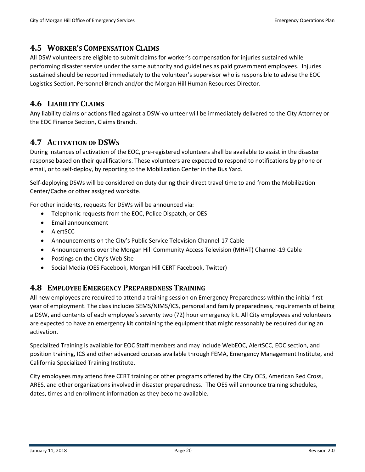## <span id="page-19-0"></span>**4.5 WORKER'S COMPENSATION CLAIMS**

All DSW volunteers are eligible to submit claims for worker's compensation for injuries sustained while performing disaster service under the same authority and guidelines as paid government employees. Injuries sustained should be reported immediately to the volunteer's supervisor who is responsible to advise the EOC Logistics Section, Personnel Branch and/or the Morgan Hill Human Resources Director.

## <span id="page-19-1"></span>**4.6 LIABILITY CLAIMS**

Any liability claims or actions filed against a DSW-volunteer will be immediately delivered to the City Attorney or the EOC Finance Section, Claims Branch.

## <span id="page-19-2"></span>**4.7 ACTIVATION OF DSWS**

During instances of activation of the EOC, pre-registered volunteers shall be available to assist in the disaster response based on their qualifications. These volunteers are expected to respond to notifications by phone or email, or to self-deploy, by reporting to the Mobilization Center in the Bus Yard.

Self-deploying DSWs will be considered on duty during their direct travel time to and from the Mobilization Center/Cache or other assigned worksite.

For other incidents, requests for DSWs will be announced via:

- Telephonic requests from the EOC, Police Dispatch, or OES
- Email announcement
- AlertSCC
- Announcements on the City's Public Service Television Channel-17 Cable
- Announcements over the Morgan Hill Community Access Television (MHAT) Channel-19 Cable
- Postings on the City's Web Site
- Social Media (OES Facebook, Morgan Hill CERT Facebook, Twitter)

## <span id="page-19-3"></span>**4.8 EMPLOYEE EMERGENCY PREPAREDNESS TRAINING**

All new employees are required to attend a training session on Emergency Preparedness within the initial first year of employment. The class includes SEMS/NIMS/ICS, personal and family preparedness, requirements of being a DSW, and contents of each employee's seventy two (72) hour emergency kit. All City employees and volunteers are expected to have an emergency kit containing the equipment that might reasonably be required during an activation.

Specialized Training is available for EOC Staff members and may include WebEOC, AlertSCC, EOC section, and position training, ICS and other advanced courses available through FEMA, Emergency Management Institute, and California Specialized Training Institute.

City employees may attend free CERT training or other programs offered by the City OES, American Red Cross, ARES, and other organizations involved in disaster preparedness. The OES will announce training schedules, dates, times and enrollment information as they become available.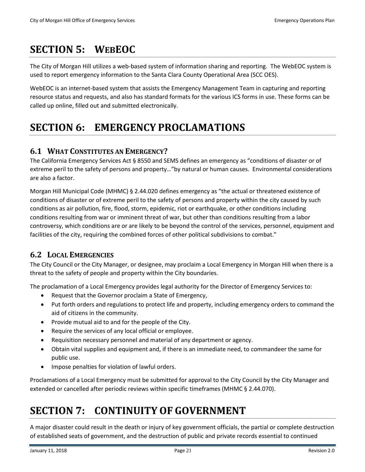# <span id="page-20-0"></span>**SECTION 5: WEBEOC**

The City of Morgan Hill utilizes a web-based system of information sharing and reporting. The WebEOC system is used to report emergency information to the Santa Clara County Operational Area (SCC OES).

WebEOC is an internet-based system that assists the Emergency Management Team in capturing and reporting resource status and requests, and also has standard formats for the various ICS forms in use. These forms can be called up online, filled out and submitted electronically.

# <span id="page-20-1"></span>**SECTION 6: EMERGENCY PROCLAMATIONS**

# <span id="page-20-2"></span>**6.1 WHAT CONSTITUTES AN EMERGENCY?**

The California Emergency Services Act § 8550 and SEMS defines an emergency as "conditions of disaster or of extreme peril to the safety of persons and property…"by natural or human causes. Environmental considerations are also a factor.

Morgan Hill Municipal Code (MHMC) § 2.44.020 defines emergency as "the actual or threatened existence of conditions of disaster or of extreme peril to the safety of persons and property within the city caused by such conditions as air pollution, fire, flood, storm, epidemic, riot or earthquake, or other conditions including conditions resulting from war or imminent threat of war, but other than conditions resulting from a labor controversy, which conditions are or are likely to be beyond the control of the services, personnel, equipment and facilities of the city, requiring the combined forces of other political subdivisions to combat."

## <span id="page-20-3"></span>**6.2 LOCAL EMERGENCIES**

The City Council or the City Manager, or designee, may proclaim a Local Emergency in Morgan Hill when there is a threat to the safety of people and property within the City boundaries.

The proclamation of a Local Emergency provides legal authority for the Director of Emergency Services to:

- Request that the Governor proclaim a State of Emergency,
- Put forth orders and regulations to protect life and property, including emergency orders to command the aid of citizens in the community.
- Provide mutual aid to and for the people of the City.
- Require the services of any local official or employee.
- Requisition necessary personnel and material of any department or agency.
- Obtain vital supplies and equipment and, if there is an immediate need, to commandeer the same for public use.
- Impose penalties for violation of lawful orders.

Proclamations of a Local Emergency must be submitted for approval to the City Council by the City Manager and extended or cancelled after periodic reviews within specific timeframes (MHMC § 2.44.070).

# <span id="page-20-4"></span>**SECTION 7: CONTINUITY OF GOVERNMENT**

A major disaster could result in the death or injury of key government officials, the partial or complete destruction of established seats of government, and the destruction of public and private records essential to continued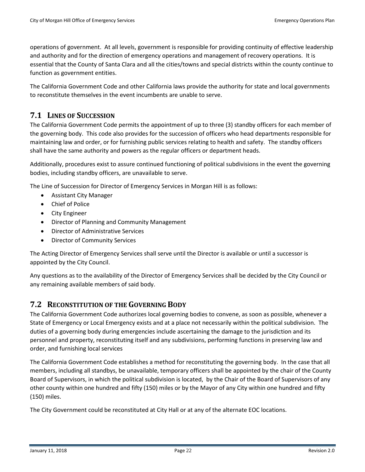operations of government. At all levels, government is responsible for providing continuity of effective leadership and authority and for the direction of emergency operations and management of recovery operations. It is essential that the County of Santa Clara and all the cities/towns and special districts within the county continue to function as government entities.

The California Government Code and other California laws provide the authority for state and local governments to reconstitute themselves in the event incumbents are unable to serve.

## <span id="page-21-0"></span>**7.1 LINES OF SUCCESSION**

The California Government Code permits the appointment of up to three (3) standby officers for each member of the governing body. This code also provides for the succession of officers who head departments responsible for maintaining law and order, or for furnishing public services relating to health and safety. The standby officers shall have the same authority and powers as the regular officers or department heads.

Additionally, procedures exist to assure continued functioning of political subdivisions in the event the governing bodies, including standby officers, are unavailable to serve.

The Line of Succession for Director of Emergency Services in Morgan Hill is as follows:

- Assistant City Manager
- Chief of Police
- City Engineer
- Director of Planning and Community Management
- Director of Administrative Services
- Director of Community Services

The Acting Director of Emergency Services shall serve until the Director is available or until a successor is appointed by the City Council.

Any questions as to the availability of the Director of Emergency Services shall be decided by the City Council or any remaining available members of said body.

## <span id="page-21-1"></span>**7.2 RECONSTITUTION OF THE GOVERNING BODY**

The California Government Code authorizes local governing bodies to convene, as soon as possible, whenever a State of Emergency or Local Emergency exists and at a place not necessarily within the political subdivision. The duties of a governing body during emergencies include ascertaining the damage to the jurisdiction and its personnel and property, reconstituting itself and any subdivisions, performing functions in preserving law and order, and furnishing local services

The California Government Code establishes a method for reconstituting the governing body. In the case that all members, including all standbys, be unavailable, temporary officers shall be appointed by the chair of the County Board of Supervisors, in which the political subdivision is located, by the Chair of the Board of Supervisors of any other county within one hundred and fifty (150) miles or by the Mayor of any City within one hundred and fifty (150) miles.

The City Government could be reconstituted at City Hall or at any of the alternate EOC locations.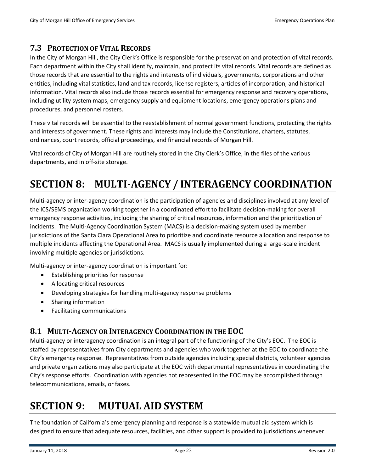## <span id="page-22-0"></span>**7.3 PROTECTION OF VITAL RECORDS**

In the City of Morgan Hill, the City Clerk's Office is responsible for the preservation and protection of vital records. Each department within the City shall identify, maintain, and protect its vital records. Vital records are defined as those records that are essential to the rights and interests of individuals, governments, corporations and other entities, including vital statistics, land and tax records, license registers, articles of incorporation, and historical information. Vital records also include those records essential for emergency response and recovery operations, including utility system maps, emergency supply and equipment locations, emergency operations plans and procedures, and personnel rosters.

These vital records will be essential to the reestablishment of normal government functions, protecting the rights and interests of government. These rights and interests may include the Constitutions, charters, statutes, ordinances, court records, official proceedings, and financial records of Morgan Hill.

Vital records of City of Morgan Hill are routinely stored in the City Clerk's Office, in the files of the various departments, and in off-site storage.

# <span id="page-22-1"></span>**SECTION 8: MULTI-AGENCY / INTERAGENCY COORDINATION**

Multi-agency or inter-agency coordination is the participation of agencies and disciplines involved at any level of the ICS/SEMS organization working together in a coordinated effort to facilitate decision-making for overall emergency response activities, including the sharing of critical resources, information and the prioritization of incidents. The Multi-Agency Coordination System (MACS) is a decision-making system used by member jurisdictions of the Santa Clara Operational Area to prioritize and coordinate resource allocation and response to multiple incidents affecting the Operational Area. MACS is usually implemented during a large-scale incident involving multiple agencies or jurisdictions.

Multi-agency or inter-agency coordination is important for:

- Establishing priorities for response
- Allocating critical resources
- Developing strategies for handling multi-agency response problems
- Sharing information
- Facilitating communications

## <span id="page-22-2"></span>**8.1 MULTI-AGENCY OR INTERAGENCY COORDINATION IN THE EOC**

Multi-agency or interagency coordination is an integral part of the functioning of the City's EOC. The EOC is staffed by representatives from City departments and agencies who work together at the EOC to coordinate the City's emergency response. Representatives from outside agencies including special districts, volunteer agencies and private organizations may also participate at the EOC with departmental representatives in coordinating the City's response efforts. Coordination with agencies not represented in the EOC may be accomplished through telecommunications, emails, or faxes.

# <span id="page-22-3"></span>**SECTION 9: MUTUAL AID SYSTEM**

The foundation of California's emergency planning and response is a statewide mutual aid system which is designed to ensure that adequate resources, facilities, and other support is provided to jurisdictions whenever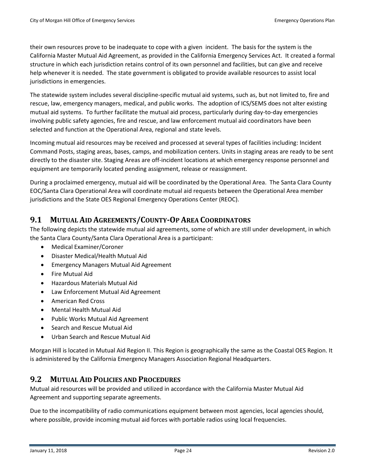their own resources prove to be inadequate to cope with a given incident. The basis for the system is the California Master Mutual Aid Agreement, as provided in the California Emergency Services Act. It created a formal structure in which each jurisdiction retains control of its own personnel and facilities, but can give and receive help whenever it is needed. The state government is obligated to provide available resources to assist local jurisdictions in emergencies.

The statewide system includes several discipline-specific mutual aid systems, such as, but not limited to, fire and rescue, law, emergency managers, medical, and public works. The adoption of ICS/SEMS does not alter existing mutual aid systems. To further facilitate the mutual aid process, particularly during day-to-day emergencies involving public safety agencies, fire and rescue, and law enforcement mutual aid coordinators have been selected and function at the Operational Area, regional and state levels.

Incoming mutual aid resources may be received and processed at several types of facilities including: Incident Command Posts, staging areas, bases, camps, and mobilization centers. Units in staging areas are ready to be sent directly to the disaster site. Staging Areas are off-incident locations at which emergency response personnel and equipment are temporarily located pending assignment, release or reassignment.

During a proclaimed emergency, mutual aid will be coordinated by the Operational Area. The Santa Clara County EOC/Santa Clara Operational Area will coordinate mutual aid requests between the Operational Area member jurisdictions and the State OES Regional Emergency Operations Center (REOC).

## <span id="page-23-0"></span>**9.1 MUTUAL AID AGREEMENTS/COUNTY-OP AREA COORDINATORS**

The following depicts the statewide mutual aid agreements, some of which are still under development, in which the Santa Clara County/Santa Clara Operational Area is a participant:

- Medical Examiner/Coroner
- Disaster Medical/Health Mutual Aid
- Emergency Managers Mutual Aid Agreement
- Fire Mutual Aid
- Hazardous Materials Mutual Aid
- Law Enforcement Mutual Aid Agreement
- American Red Cross
- Mental Health Mutual Aid
- Public Works Mutual Aid Agreement
- Search and Rescue Mutual Aid
- Urban Search and Rescue Mutual Aid

Morgan Hill is located in Mutual Aid Region II. This Region is geographically the same as the Coastal OES Region. It is administered by the California Emergency Managers Association Regional Headquarters.

## <span id="page-23-1"></span>**9.2 MUTUAL AID POLICIES AND PROCEDURES**

Mutual aid resources will be provided and utilized in accordance with the California Master Mutual Aid Agreement and supporting separate agreements.

Due to the incompatibility of radio communications equipment between most agencies, local agencies should, where possible, provide incoming mutual aid forces with portable radios using local frequencies.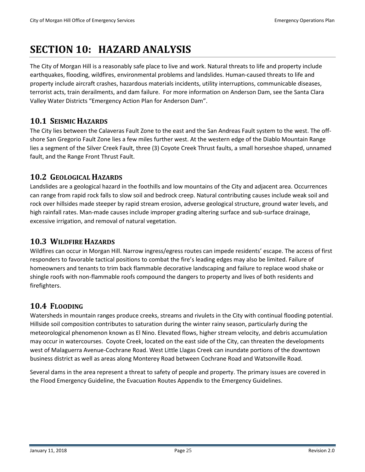# <span id="page-24-0"></span>**SECTION 10: HAZARD ANALYSIS**

The City of Morgan Hill is a reasonably safe place to live and work. Natural threats to life and property include earthquakes, flooding, wildfires, environmental problems and landslides. Human-caused threats to life and property include aircraft crashes, hazardous materials incidents, utility interruptions, communicable diseases, terrorist acts, train derailments, and dam failure. For more information on Anderson Dam, see the Santa Clara Valley Water Districts "Emergency Action Plan for Anderson Dam".

# <span id="page-24-1"></span>**10.1 SEISMIC HAZARDS**

The City lies between the Calaveras Fault Zone to the east and the San Andreas Fault system to the west. The offshore San Gregorio Fault Zone lies a few miles further west. At the western edge of the Diablo Mountain Range lies a segment of the Silver Creek Fault, three (3) Coyote Creek Thrust faults, a small horseshoe shaped, unnamed fault, and the Range Front Thrust Fault.

# <span id="page-24-2"></span>**10.2 GEOLOGICAL HAZARDS**

Landslides are a geological hazard in the foothills and low mountains of the City and adjacent area. Occurrences can range from rapid rock falls to slow soil and bedrock creep. Natural contributing causes include weak soil and rock over hillsides made steeper by rapid stream erosion, adverse geological structure, ground water levels, and high rainfall rates. Man-made causes include improper grading altering surface and sub-surface drainage, excessive irrigation, and removal of natural vegetation.

# <span id="page-24-3"></span>**10.3 WILDFIRE HAZARDS**

Wildfires can occur in Morgan Hill. Narrow ingress/egress routes can impede residents' escape. The access of first responders to favorable tactical positions to combat the fire's leading edges may also be limited. Failure of homeowners and tenants to trim back flammable decorative landscaping and failure to replace wood shake or shingle roofs with non-flammable roofs compound the dangers to property and lives of both residents and firefighters.

# <span id="page-24-4"></span>**10.4 FLOODING**

Watersheds in mountain ranges produce creeks, streams and rivulets in the City with continual flooding potential. Hillside soil composition contributes to saturation during the winter rainy season, particularly during the meteorological phenomenon known as El Nino. Elevated flows, higher stream velocity, and debris accumulation may occur in watercourses. Coyote Creek, located on the east side of the City, can threaten the developments west of Malaguerra Avenue-Cochrane Road. West Little Llagas Creek can inundate portions of the downtown business district as well as areas along Monterey Road between Cochrane Road and Watsonville Road.

Several dams in the area represent a threat to safety of people and property. The primary issues are covered in the Flood Emergency Guideline, the Evacuation Routes Appendix to the Emergency Guidelines.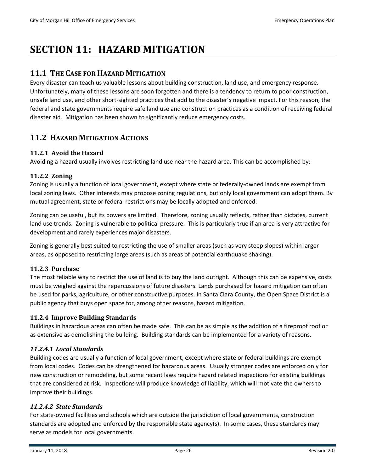# <span id="page-25-0"></span>**SECTION 11: HAZARD MITIGATION**

## <span id="page-25-1"></span>**11.1 THE CASE FOR HAZARD MITIGATION**

Every disaster can teach us valuable lessons about building construction, land use, and emergency response. Unfortunately, many of these lessons are soon forgotten and there is a tendency to return to poor construction, unsafe land use, and other short-sighted practices that add to the disaster's negative impact. For this reason, the federal and state governments require safe land use and construction practices as a condition of receiving federal disaster aid. Mitigation has been shown to significantly reduce emergency costs.

## <span id="page-25-2"></span>**11.2 HAZARD MITIGATION ACTIONS**

## **11.2.1 Avoid the Hazard**

Avoiding a hazard usually involves restricting land use near the hazard area. This can be accomplished by:

#### **11.2.2 Zoning**

Zoning is usually a function of local government, except where state or federally-owned lands are exempt from local zoning laws. Other interests may propose zoning regulations, but only local government can adopt them. By mutual agreement, state or federal restrictions may be locally adopted and enforced.

Zoning can be useful, but its powers are limited. Therefore, zoning usually reflects, rather than dictates, current land use trends. Zoning is vulnerable to political pressure. This is particularly true if an area is very attractive for development and rarely experiences major disasters.

Zoning is generally best suited to restricting the use of smaller areas (such as very steep slopes) within larger areas, as opposed to restricting large areas (such as areas of potential earthquake shaking).

#### **11.2.3 Purchase**

The most reliable way to restrict the use of land is to buy the land outright. Although this can be expensive, costs must be weighed against the repercussions of future disasters. Lands purchased for hazard mitigation can often be used for parks, agriculture, or other constructive purposes. In Santa Clara County, the Open Space District is a public agency that buys open space for, among other reasons, hazard mitigation.

## **11.2.4 Improve Building Standards**

Buildings in hazardous areas can often be made safe. This can be as simple as the addition of a fireproof roof or as extensive as demolishing the building. Building standards can be implemented for a variety of reasons.

#### *11.2.4.1 Local Standards*

Building codes are usually a function of local government, except where state or federal buildings are exempt from local codes. Codes can be strengthened for hazardous areas. Usually stronger codes are enforced only for new construction or remodeling, but some recent laws require hazard related inspections for existing buildings that are considered at risk. Inspections will produce knowledge of liability, which will motivate the owners to improve their buildings.

#### *11.2.4.2 State Standards*

For state-owned facilities and schools which are outside the jurisdiction of local governments, construction standards are adopted and enforced by the responsible state agency(s). In some cases, these standards may serve as models for local governments.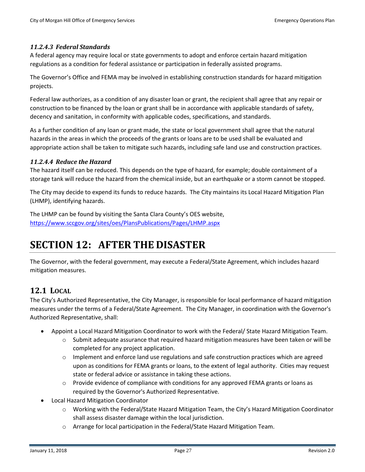#### *11.2.4.3 Federal Standards*

A federal agency may require local or state governments to adopt and enforce certain hazard mitigation regulations as a condition for federal assistance or participation in federally assisted programs.

The Governor's Office and FEMA may be involved in establishing construction standards for hazard mitigation projects.

Federal law authorizes, as a condition of any disaster loan or grant, the recipient shall agree that any repair or construction to be financed by the loan or grant shall be in accordance with applicable standards of safety, decency and sanitation, in conformity with applicable codes, specifications, and standards.

As a further condition of any loan or grant made, the state or local government shall agree that the natural hazards in the areas in which the proceeds of the grants or loans are to be used shall be evaluated and appropriate action shall be taken to mitigate such hazards, including safe land use and construction practices.

#### *11.2.4.4 Reduce the Hazard*

The hazard itself can be reduced. This depends on the type of hazard, for example; double containment of a storage tank will reduce the hazard from the chemical inside, but an earthquake or a storm cannot be stopped.

The City may decide to expend its funds to reduce hazards. The City maintains its Local Hazard Mitigation Plan (LHMP), identifying hazards.

The LHMP can be found by visiting the Santa Clara County's OES website, <https://www.sccgov.org/sites/oes/PlansPublications/Pages/LHMP.aspx>

# <span id="page-26-0"></span>**SECTION 12: AFTER THE DISASTER**

The Governor, with the federal government, may execute a Federal/State Agreement, which includes hazard mitigation measures.

## <span id="page-26-1"></span>**12.1 LOCAL**

The City's Authorized Representative, the City Manager, is responsible for local performance of hazard mitigation measures under the terms of a Federal/State Agreement. The City Manager, in coordination with the Governor's Authorized Representative, shall:

- Appoint a Local Hazard Mitigation Coordinator to work with the Federal/ State Hazard Mitigation Team.
	- $\circ$  Submit adequate assurance that required hazard mitigation measures have been taken or will be completed for any project application.
	- $\circ$  Implement and enforce land use regulations and safe construction practices which are agreed upon as conditions for FEMA grants or loans, to the extent of legal authority. Cities may request state or federal advice or assistance in taking these actions.
	- $\circ$  Provide evidence of compliance with conditions for any approved FEMA grants or loans as required by the Governor's Authorized Representative.
- Local Hazard Mitigation Coordinator
	- o Working with the Federal/State Hazard Mitigation Team, the City's Hazard Mitigation Coordinator shall assess disaster damage within the local jurisdiction.
	- o Arrange for local participation in the Federal/State Hazard Mitigation Team.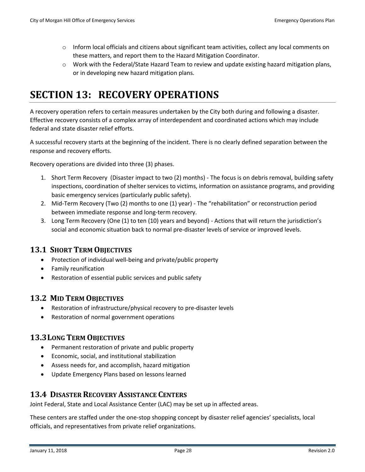- $\circ$  Inform local officials and citizens about significant team activities, collect any local comments on these matters, and report them to the Hazard Mitigation Coordinator.
- <span id="page-27-0"></span> $\circ$  Work with the Federal/State Hazard Team to review and update existing hazard mitigation plans, or in developing new hazard mitigation plans.

# **SECTION 13: RECOVERY OPERATIONS**

A recovery operation refers to certain measures undertaken by the City both during and following a disaster. Effective recovery consists of a complex array of interdependent and coordinated actions which may include federal and state disaster relief efforts.

A successful recovery starts at the beginning of the incident. There is no clearly defined separation between the response and recovery efforts.

Recovery operations are divided into three (3) phases.

- 1. Short Term Recovery (Disaster impact to two (2) months) The focus is on debris removal, building safety inspections, coordination of shelter services to victims, information on assistance programs, and providing basic emergency services (particularly public safety).
- 2. Mid-Term Recovery (Two (2) months to one (1) year) The "rehabilitation" or reconstruction period between immediate response and long-term recovery.
- 3. Long Term Recovery (One (1) to ten (10) years and beyond) Actions that will return the jurisdiction's social and economic situation back to normal pre-disaster levels of service or improved levels.

## **13.1 SHORT TERM OBJECTIVES**

- <span id="page-27-1"></span>• Protection of individual well-being and private/public property
- Family reunification
- <span id="page-27-2"></span>• Restoration of essential public services and public safety

## **13.2 MID TERM OBJECTIVES**

- Restoration of infrastructure/physical recovery to pre-disaster levels
- Restoration of normal government operations

## <span id="page-27-3"></span>**13.3LONG TERM OBJECTIVES**

- Permanent restoration of private and public property
- Economic, social, and institutional stabilization
- Assess needs for, and accomplish, hazard mitigation
- <span id="page-27-4"></span>• Update Emergency Plans based on lessons learned

## **13.4 DISASTER RECOVERY ASSISTANCE CENTERS**

Joint Federal, State and Local Assistance Center (LAC) may be set up in affected areas.

These centers are staffed under the one-stop shopping concept by disaster relief agencies' specialists, local officials, and representatives from private relief organizations.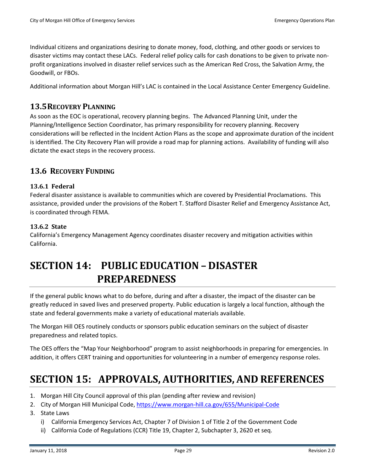Individual citizens and organizations desiring to donate money, food, clothing, and other goods or services to disaster victims may contact these LACs. Federal relief policy calls for cash donations to be given to private nonprofit organizations involved in disaster relief services such as the American Red Cross, the Salvation Army, the Goodwill, or FBOs.

Additional information about Morgan Hill's LAC is contained in the Local Assistance Center Emergency Guideline.

## <span id="page-28-0"></span>**13.5RECOVERY PLANNING**

As soon as the EOC is operational, recovery planning begins. The Advanced Planning Unit, under the Planning/Intelligence Section Coordinator, has primary responsibility for recovery planning. Recovery considerations will be reflected in the Incident Action Plans as the scope and approximate duration of the incident is identified. The City Recovery Plan will provide a road map for planning actions. Availability of funding will also dictate the exact steps in the recovery process.

## <span id="page-28-1"></span>**13.6 RECOVERY FUNDING**

## **13.6.1 Federal**

Federal disaster assistance is available to communities which are covered by Presidential Proclamations. This assistance, provided under the provisions of the Robert T. Stafford Disaster Relief and Emergency Assistance Act, is coordinated through FEMA.

## **13.6.2 State**

California's Emergency Management Agency coordinates disaster recovery and mitigation activities within California.

# <span id="page-28-2"></span>**SECTION 14: PUBLIC EDUCATION – DISASTER PREPAREDNESS**

If the general public knows what to do before, during and after a disaster, the impact of the disaster can be greatly reduced in saved lives and preserved property. Public education is largely a local function, although the state and federal governments make a variety of educational materials available.

The Morgan Hill OES routinely conducts or sponsors public education seminars on the subject of disaster preparedness and related topics.

The OES offers the "Map Your Neighborhood" program to assist neighborhoods in preparing for emergencies. In addition, it offers CERT training and opportunities for volunteering in a number of emergency response roles.

# <span id="page-28-3"></span>**SECTION 15: APPROVALS, AUTHORITIES, AND REFERENCES**

- 1. Morgan Hill City Council approval of this plan (pending after review and revision)
- 2. City of Morgan Hill Municipal Code,<https://www.morgan-hill.ca.gov/655/Municipal-Code>
- 3. State Laws
	- i) California Emergency Services Act, Chapter 7 of Division 1 of Title 2 of the Government Code
	- ii) California Code of Regulations (CCR) Title 19, Chapter 2, Subchapter 3, 2620 et seq.